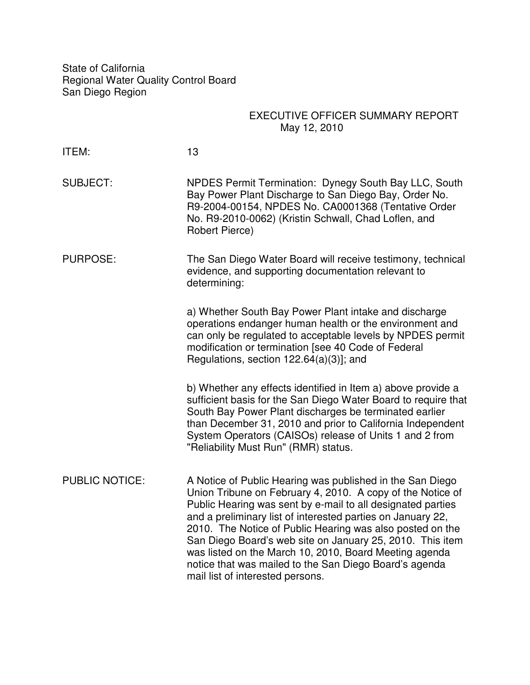State of California Regional Water Quality Control Board San Diego Region

# EXECUTIVE OFFICER SUMMARY REPORT May 12, 2010

| ITEM:                 | 13                                                                                                                                                                                                                                                                                                                                                                                                                                                                                                                                      |  |
|-----------------------|-----------------------------------------------------------------------------------------------------------------------------------------------------------------------------------------------------------------------------------------------------------------------------------------------------------------------------------------------------------------------------------------------------------------------------------------------------------------------------------------------------------------------------------------|--|
| <b>SUBJECT:</b>       | NPDES Permit Termination: Dynegy South Bay LLC, South<br>Bay Power Plant Discharge to San Diego Bay, Order No.<br>R9-2004-00154, NPDES No. CA0001368 (Tentative Order<br>No. R9-2010-0062) (Kristin Schwall, Chad Loflen, and<br>Robert Pierce)                                                                                                                                                                                                                                                                                         |  |
| <b>PURPOSE:</b>       | The San Diego Water Board will receive testimony, technical<br>evidence, and supporting documentation relevant to<br>determining:                                                                                                                                                                                                                                                                                                                                                                                                       |  |
|                       | a) Whether South Bay Power Plant intake and discharge<br>operations endanger human health or the environment and<br>can only be regulated to acceptable levels by NPDES permit<br>modification or termination [see 40 Code of Federal<br>Regulations, section $122.64(a)(3)$ ; and                                                                                                                                                                                                                                                      |  |
|                       | b) Whether any effects identified in Item a) above provide a<br>sufficient basis for the San Diego Water Board to require that<br>South Bay Power Plant discharges be terminated earlier<br>than December 31, 2010 and prior to California Independent<br>System Operators (CAISOs) release of Units 1 and 2 from<br>"Reliability Must Run" (RMR) status.                                                                                                                                                                               |  |
| <b>PUBLIC NOTICE:</b> | A Notice of Public Hearing was published in the San Diego<br>Union Tribune on February 4, 2010. A copy of the Notice of<br>Public Hearing was sent by e-mail to all designated parties<br>and a preliminary list of interested parties on January 22,<br>2010. The Notice of Public Hearing was also posted on the<br>San Diego Board's web site on January 25, 2010. This item<br>was listed on the March 10, 2010, Board Meeting agenda<br>notice that was mailed to the San Diego Board's agenda<br>mail list of interested persons. |  |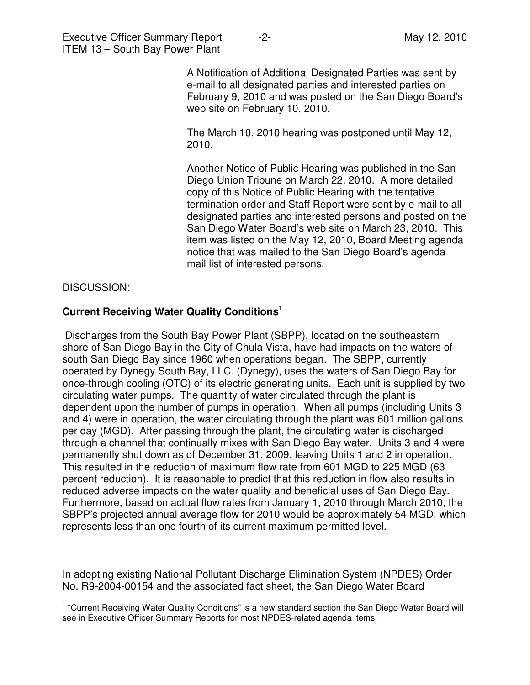Executive Officer Summary Report -2- The Contract of May 12, 2010 ITEM 13 – South Bay Power Plant

A Notification of Additional Designated Parties was sent by e-mail to all designated parties and interested parties on February 9, 2010 and was posted on the San Diego Board's web site on February 10, 2010.

The March 10, 2010 hearing was postponed until May 12, 2010.

 Another Notice of Public Hearing was published in the San Diego Union Tribune on March 22, 2010. A more detailed copy of this Notice of Public Hearing with the tentative termination order and Staff Report were sent by e-mail to all designated parties and interested persons and posted on the San Diego Water Board's web site on March 23, 2010. This item was listed on the May 12, 2010, Board Meeting agenda notice that was mailed to the San Diego Board's agenda mail list of interested persons.

### DISCUSSION:

L

### **Current Receiving Water Quality Conditions<sup>1</sup>**

 Discharges from the South Bay Power Plant (SBPP), located on the southeastern shore of San Diego Bay in the City of Chula Vista, have had impacts on the waters of south San Diego Bay since 1960 when operations began. The SBPP, currently operated by Dynegy South Bay, LLC. (Dynegy), uses the waters of San Diego Bay for once-through cooling (OTC) of its electric generating units. Each unit is supplied by two circulating water pumps. The quantity of water circulated through the plant is dependent upon the number of pumps in operation. When all pumps (including Units 3 and 4) were in operation, the water circulating through the plant was 601 million gallons per day (MGD). After passing through the plant, the circulating water is discharged through a channel that continually mixes with San Diego Bay water. Units 3 and 4 were permanently shut down as of December 31, 2009, leaving Units 1 and 2 in operation. This resulted in the reduction of maximum flow rate from 601 MGD to 225 MGD (63 percent reduction). It is reasonable to predict that this reduction in flow also results in reduced adverse impacts on the water quality and beneficial uses of San Diego Bay. Furthermore, based on actual flow rates from January 1, 2010 through March 2010, the SBPP's projected annual average flow for 2010 would be approximately 54 MGD, which represents less than one fourth of its current maximum permitted level.

In adopting existing National Pollutant Discharge Elimination System (NPDES) Order No. R9-2004-00154 and the associated fact sheet, the San Diego Water Board

<sup>&</sup>lt;sup>1</sup> "Current Receiving Water Quality Conditions" is a new standard section the San Diego Water Board will see in Executive Officer Summary Reports for most NPDES-related agenda items.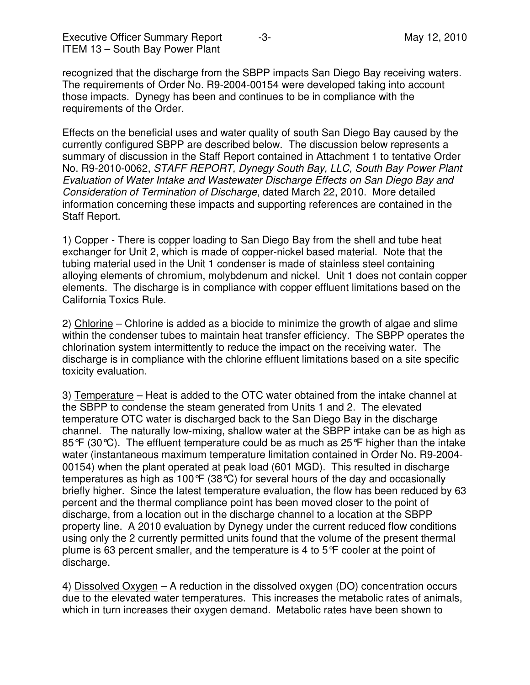recognized that the discharge from the SBPP impacts San Diego Bay receiving waters. The requirements of Order No. R9-2004-00154 were developed taking into account those impacts. Dynegy has been and continues to be in compliance with the requirements of the Order.

Effects on the beneficial uses and water quality of south San Diego Bay caused by the currently configured SBPP are described below. The discussion below represents a summary of discussion in the Staff Report contained in Attachment 1 to tentative Order No. R9-2010-0062, STAFF REPORT, Dynegy South Bay, LLC, South Bay Power Plant Evaluation of Water Intake and Wastewater Discharge Effects on San Diego Bay and Consideration of Termination of Discharge, dated March 22, 2010. More detailed information concerning these impacts and supporting references are contained in the Staff Report.

1) Copper - There is copper loading to San Diego Bay from the shell and tube heat exchanger for Unit 2, which is made of copper-nickel based material. Note that the tubing material used in the Unit 1 condenser is made of stainless steel containing alloying elements of chromium, molybdenum and nickel. Unit 1 does not contain copper elements. The discharge is in compliance with copper effluent limitations based on the California Toxics Rule.

2) Chlorine – Chlorine is added as a biocide to minimize the growth of algae and slime within the condenser tubes to maintain heat transfer efficiency. The SBPP operates the chlorination system intermittently to reduce the impact on the receiving water. The discharge is in compliance with the chlorine effluent limitations based on a site specific toxicity evaluation.

3) Temperature – Heat is added to the OTC water obtained from the intake channel at the SBPP to condense the steam generated from Units 1 and 2. The elevated temperature OTC water is discharged back to the San Diego Bay in the discharge channel. The naturally low-mixing, shallow water at the SBPP intake can be as high as 85°F (30°C). The effluent temperature could be as much as 25°F higher than the intake water (instantaneous maximum temperature limitation contained in Order No. R9-2004- 00154) when the plant operated at peak load (601 MGD). This resulted in discharge temperatures as high as 100°F (38°C) for several hours of the day and occasionally briefly higher. Since the latest temperature evaluation, the flow has been reduced by 63 percent and the thermal compliance point has been moved closer to the point of discharge, from a location out in the discharge channel to a location at the SBPP property line. A 2010 evaluation by Dynegy under the current reduced flow conditions using only the 2 currently permitted units found that the volume of the present thermal plume is 63 percent smaller, and the temperature is 4 to 5°F cooler at the point of discharge.

4) Dissolved Oxygen – A reduction in the dissolved oxygen (DO) concentration occurs due to the elevated water temperatures. This increases the metabolic rates of animals, which in turn increases their oxygen demand. Metabolic rates have been shown to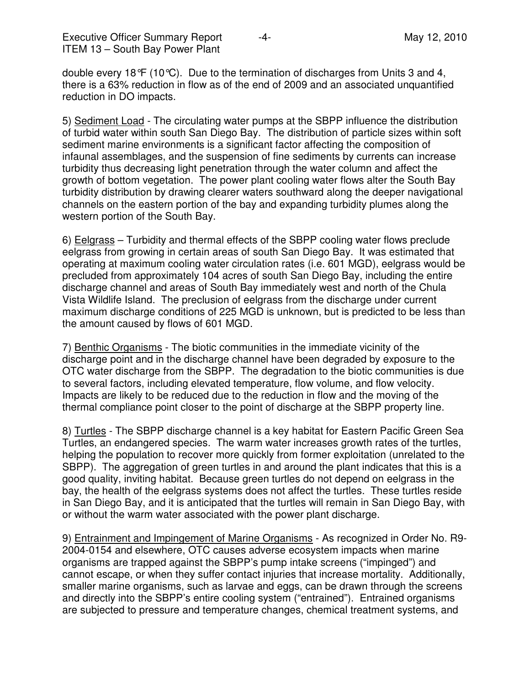Executive Officer Summary Report  $-4$ - Algebra 2010 ITEM 13 – South Bay Power Plant

double every 18°F (10°C). Due to the termination of discharges from Units 3 and 4, there is a 63% reduction in flow as of the end of 2009 and an associated unquantified reduction in DO impacts.

5) Sediment Load - The circulating water pumps at the SBPP influence the distribution of turbid water within south San Diego Bay. The distribution of particle sizes within soft sediment marine environments is a significant factor affecting the composition of infaunal assemblages, and the suspension of fine sediments by currents can increase turbidity thus decreasing light penetration through the water column and affect the growth of bottom vegetation. The power plant cooling water flows alter the South Bay turbidity distribution by drawing clearer waters southward along the deeper navigational channels on the eastern portion of the bay and expanding turbidity plumes along the western portion of the South Bay.

6) Eelgrass – Turbidity and thermal effects of the SBPP cooling water flows preclude eelgrass from growing in certain areas of south San Diego Bay. It was estimated that operating at maximum cooling water circulation rates (i.e. 601 MGD), eelgrass would be precluded from approximately 104 acres of south San Diego Bay, including the entire discharge channel and areas of South Bay immediately west and north of the Chula Vista Wildlife Island. The preclusion of eelgrass from the discharge under current maximum discharge conditions of 225 MGD is unknown, but is predicted to be less than the amount caused by flows of 601 MGD.

7) Benthic Organisms - The biotic communities in the immediate vicinity of the discharge point and in the discharge channel have been degraded by exposure to the OTC water discharge from the SBPP. The degradation to the biotic communities is due to several factors, including elevated temperature, flow volume, and flow velocity. Impacts are likely to be reduced due to the reduction in flow and the moving of the thermal compliance point closer to the point of discharge at the SBPP property line.

8) Turtles - The SBPP discharge channel is a key habitat for Eastern Pacific Green Sea Turtles, an endangered species. The warm water increases growth rates of the turtles, helping the population to recover more quickly from former exploitation (unrelated to the SBPP). The aggregation of green turtles in and around the plant indicates that this is a good quality, inviting habitat. Because green turtles do not depend on eelgrass in the bay, the health of the eelgrass systems does not affect the turtles. These turtles reside in San Diego Bay, and it is anticipated that the turtles will remain in San Diego Bay, with or without the warm water associated with the power plant discharge.

9) Entrainment and Impingement of Marine Organisms - As recognized in Order No. R9- 2004-0154 and elsewhere, OTC causes adverse ecosystem impacts when marine organisms are trapped against the SBPP's pump intake screens ("impinged") and cannot escape, or when they suffer contact injuries that increase mortality. Additionally, smaller marine organisms, such as larvae and eggs, can be drawn through the screens and directly into the SBPP's entire cooling system ("entrained"). Entrained organisms are subjected to pressure and temperature changes, chemical treatment systems, and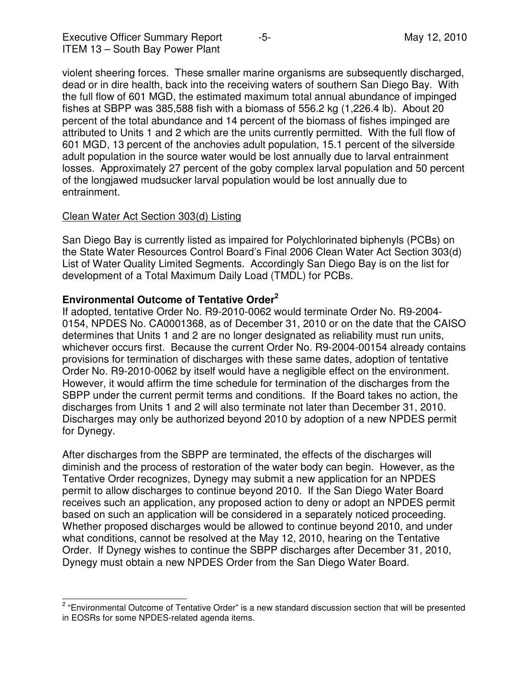Executive Officer Summary Report  $-5$ - And The May 12, 2010 ITEM 13 – South Bay Power Plant

violent sheering forces. These smaller marine organisms are subsequently discharged, dead or in dire health, back into the receiving waters of southern San Diego Bay. With the full flow of 601 MGD, the estimated maximum total annual abundance of impinged fishes at SBPP was 385,588 fish with a biomass of 556.2 kg (1,226.4 lb). About 20 percent of the total abundance and 14 percent of the biomass of fishes impinged are attributed to Units 1 and 2 which are the units currently permitted. With the full flow of 601 MGD, 13 percent of the anchovies adult population, 15.1 percent of the silverside adult population in the source water would be lost annually due to larval entrainment losses. Approximately 27 percent of the goby complex larval population and 50 percent of the longjawed mudsucker larval population would be lost annually due to entrainment.

### Clean Water Act Section 303(d) Listing

L

San Diego Bay is currently listed as impaired for Polychlorinated biphenyls (PCBs) on the State Water Resources Control Board's Final 2006 Clean Water Act Section 303(d) List of Water Quality Limited Segments. Accordingly San Diego Bay is on the list for development of a Total Maximum Daily Load (TMDL) for PCBs.

### **Environmental Outcome of Tentative Order<sup>2</sup>**

If adopted, tentative Order No. R9-2010-0062 would terminate Order No. R9-2004- 0154, NPDES No. CA0001368, as of December 31, 2010 or on the date that the CAISO determines that Units 1 and 2 are no longer designated as reliability must run units, whichever occurs first. Because the current Order No. R9-2004-00154 already contains provisions for termination of discharges with these same dates, adoption of tentative Order No. R9-2010-0062 by itself would have a negligible effect on the environment. However, it would affirm the time schedule for termination of the discharges from the SBPP under the current permit terms and conditions. If the Board takes no action, the discharges from Units 1 and 2 will also terminate not later than December 31, 2010. Discharges may only be authorized beyond 2010 by adoption of a new NPDES permit for Dynegy.

After discharges from the SBPP are terminated, the effects of the discharges will diminish and the process of restoration of the water body can begin. However, as the Tentative Order recognizes, Dynegy may submit a new application for an NPDES permit to allow discharges to continue beyond 2010. If the San Diego Water Board receives such an application, any proposed action to deny or adopt an NPDES permit based on such an application will be considered in a separately noticed proceeding. Whether proposed discharges would be allowed to continue beyond 2010, and under what conditions, cannot be resolved at the May 12, 2010, hearing on the Tentative Order. If Dynegy wishes to continue the SBPP discharges after December 31, 2010, Dynegy must obtain a new NPDES Order from the San Diego Water Board.

<sup>&</sup>lt;sup>2</sup> "Environmental Outcome of Tentative Order" is a new standard discussion section that will be presented in EOSRs for some NPDES-related agenda items.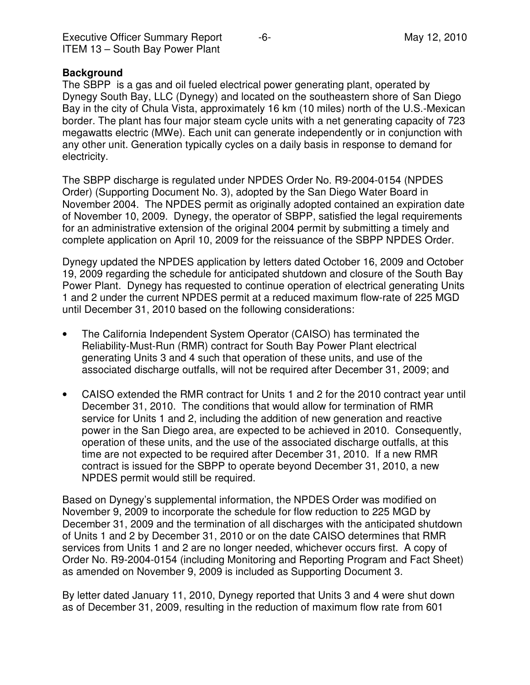|  | <b>Executive Officer Summary Report</b> |  |
|--|-----------------------------------------|--|
|  | <b>ITEM 13 - South Bay Power Plant</b>  |  |

#### **Background**

The SBPP is a gas and oil fueled electrical power generating plant, operated by Dynegy South Bay, LLC (Dynegy) and located on the southeastern shore of San Diego Bay in the city of Chula Vista, approximately 16 km (10 miles) north of the U.S.-Mexican border. The plant has four major steam cycle units with a net generating capacity of 723 megawatts electric (MWe). Each unit can generate independently or in conjunction with any other unit. Generation typically cycles on a daily basis in response to demand for electricity.

The SBPP discharge is regulated under NPDES Order No. R9-2004-0154 (NPDES Order) (Supporting Document No. 3), adopted by the San Diego Water Board in November 2004. The NPDES permit as originally adopted contained an expiration date of November 10, 2009. Dynegy, the operator of SBPP, satisfied the legal requirements for an administrative extension of the original 2004 permit by submitting a timely and complete application on April 10, 2009 for the reissuance of the SBPP NPDES Order.

Dynegy updated the NPDES application by letters dated October 16, 2009 and October 19, 2009 regarding the schedule for anticipated shutdown and closure of the South Bay Power Plant. Dynegy has requested to continue operation of electrical generating Units 1 and 2 under the current NPDES permit at a reduced maximum flow-rate of 225 MGD until December 31, 2010 based on the following considerations:

- The California Independent System Operator (CAISO) has terminated the Reliability-Must-Run (RMR) contract for South Bay Power Plant electrical generating Units 3 and 4 such that operation of these units, and use of the associated discharge outfalls, will not be required after December 31, 2009; and
- CAISO extended the RMR contract for Units 1 and 2 for the 2010 contract year until December 31, 2010. The conditions that would allow for termination of RMR service for Units 1 and 2, including the addition of new generation and reactive power in the San Diego area, are expected to be achieved in 2010. Consequently, operation of these units, and the use of the associated discharge outfalls, at this time are not expected to be required after December 31, 2010. If a new RMR contract is issued for the SBPP to operate beyond December 31, 2010, a new NPDES permit would still be required.

Based on Dynegy's supplemental information, the NPDES Order was modified on November 9, 2009 to incorporate the schedule for flow reduction to 225 MGD by December 31, 2009 and the termination of all discharges with the anticipated shutdown of Units 1 and 2 by December 31, 2010 or on the date CAISO determines that RMR services from Units 1 and 2 are no longer needed, whichever occurs first. A copy of Order No. R9-2004-0154 (including Monitoring and Reporting Program and Fact Sheet) as amended on November 9, 2009 is included as Supporting Document 3.

By letter dated January 11, 2010, Dynegy reported that Units 3 and 4 were shut down as of December 31, 2009, resulting in the reduction of maximum flow rate from 601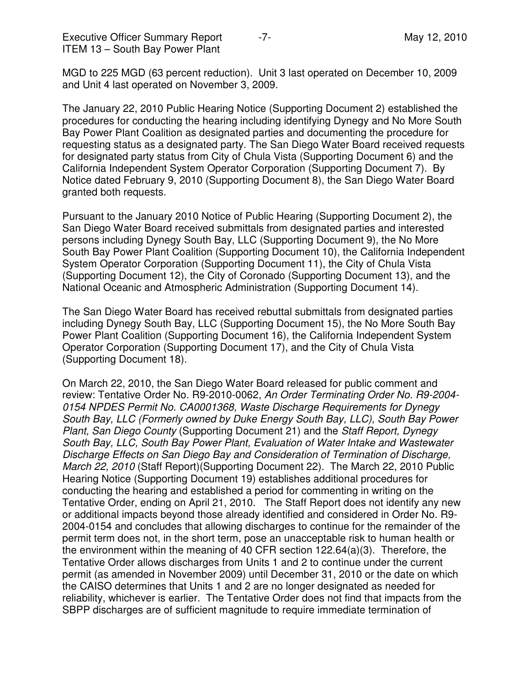Executive Officer Summary Report  $-7$ - All the Contract May 12, 2010 ITEM 13 – South Bay Power Plant

MGD to 225 MGD (63 percent reduction). Unit 3 last operated on December 10, 2009 and Unit 4 last operated on November 3, 2009.

The January 22, 2010 Public Hearing Notice (Supporting Document 2) established the procedures for conducting the hearing including identifying Dynegy and No More South Bay Power Plant Coalition as designated parties and documenting the procedure for requesting status as a designated party. The San Diego Water Board received requests for designated party status from City of Chula Vista (Supporting Document 6) and the California Independent System Operator Corporation (Supporting Document 7). By Notice dated February 9, 2010 (Supporting Document 8), the San Diego Water Board granted both requests.

Pursuant to the January 2010 Notice of Public Hearing (Supporting Document 2), the San Diego Water Board received submittals from designated parties and interested persons including Dynegy South Bay, LLC (Supporting Document 9), the No More South Bay Power Plant Coalition (Supporting Document 10), the California Independent System Operator Corporation (Supporting Document 11), the City of Chula Vista (Supporting Document 12), the City of Coronado (Supporting Document 13), and the National Oceanic and Atmospheric Administration (Supporting Document 14).

The San Diego Water Board has received rebuttal submittals from designated parties including Dynegy South Bay, LLC (Supporting Document 15), the No More South Bay Power Plant Coalition (Supporting Document 16), the California Independent System Operator Corporation (Supporting Document 17), and the City of Chula Vista (Supporting Document 18).

On March 22, 2010, the San Diego Water Board released for public comment and review: Tentative Order No. R9-2010-0062, An Order Terminating Order No. R9-2004- 0154 NPDES Permit No. CA0001368, Waste Discharge Requirements for Dynegy South Bay, LLC (Formerly owned by Duke Energy South Bay, LLC), South Bay Power Plant, San Diego County (Supporting Document 21) and the Staff Report, Dynegy South Bay, LLC, South Bay Power Plant, Evaluation of Water Intake and Wastewater Discharge Effects on San Diego Bay and Consideration of Termination of Discharge, March 22, 2010 (Staff Report)(Supporting Document 22). The March 22, 2010 Public Hearing Notice (Supporting Document 19) establishes additional procedures for conducting the hearing and established a period for commenting in writing on the Tentative Order, ending on April 21, 2010. The Staff Report does not identify any new or additional impacts beyond those already identified and considered in Order No. R9- 2004-0154 and concludes that allowing discharges to continue for the remainder of the permit term does not, in the short term, pose an unacceptable risk to human health or the environment within the meaning of 40 CFR section 122.64(a)(3). Therefore, the Tentative Order allows discharges from Units 1 and 2 to continue under the current permit (as amended in November 2009) until December 31, 2010 or the date on which the CAISO determines that Units 1 and 2 are no longer designated as needed for reliability, whichever is earlier. The Tentative Order does not find that impacts from the SBPP discharges are of sufficient magnitude to require immediate termination of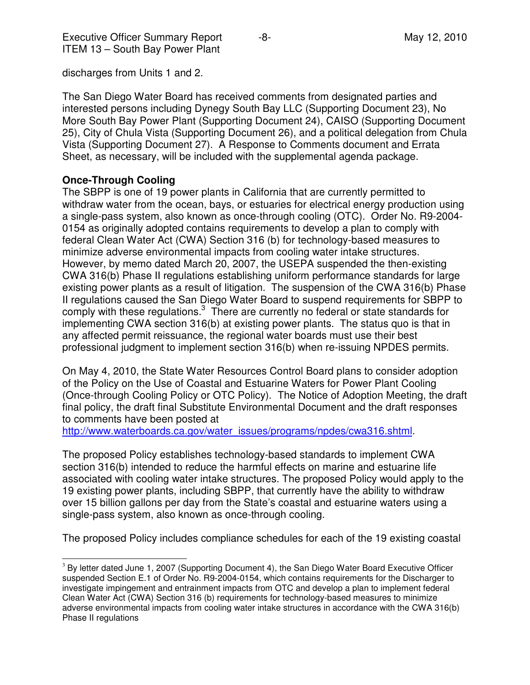discharges from Units 1 and 2.

The San Diego Water Board has received comments from designated parties and interested persons including Dynegy South Bay LLC (Supporting Document 23), No More South Bay Power Plant (Supporting Document 24), CAISO (Supporting Document 25), City of Chula Vista (Supporting Document 26), and a political delegation from Chula Vista (Supporting Document 27). A Response to Comments document and Errata Sheet, as necessary, will be included with the supplemental agenda package.

## **Once-Through Cooling**

L

The SBPP is one of 19 power plants in California that are currently permitted to withdraw water from the ocean, bays, or estuaries for electrical energy production using a single-pass system, also known as once-through cooling (OTC). Order No. R9-2004- 0154 as originally adopted contains requirements to develop a plan to comply with federal Clean Water Act (CWA) Section 316 (b) for technology-based measures to minimize adverse environmental impacts from cooling water intake structures. However, by memo dated March 20, 2007, the USEPA suspended the then-existing CWA 316(b) Phase II regulations establishing uniform performance standards for large existing power plants as a result of litigation. The suspension of the CWA 316(b) Phase II regulations caused the San Diego Water Board to suspend requirements for SBPP to comply with these regulations. $3$  There are currently no federal or state standards for implementing CWA section 316(b) at existing power plants. The status quo is that in any affected permit reissuance, the regional water boards must use their best professional judgment to implement section 316(b) when re-issuing NPDES permits.

On May 4, 2010, the State Water Resources Control Board plans to consider adoption of the Policy on the Use of Coastal and Estuarine Waters for Power Plant Cooling (Once-through Cooling Policy or OTC Policy). The Notice of Adoption Meeting, the draft final policy, the draft final Substitute Environmental Document and the draft responses to comments have been posted at

http://www.waterboards.ca.gov/water\_issues/programs/npdes/cwa316.shtml.

The proposed Policy establishes technology-based standards to implement CWA section 316(b) intended to reduce the harmful effects on marine and estuarine life associated with cooling water intake structures. The proposed Policy would apply to the 19 existing power plants, including SBPP, that currently have the ability to withdraw over 15 billion gallons per day from the State's coastal and estuarine waters using a single-pass system, also known as once-through cooling.

The proposed Policy includes compliance schedules for each of the 19 existing coastal

<sup>&</sup>lt;sup>3</sup> By letter dated June 1, 2007 (Supporting Document 4), the San Diego Water Board Executive Officer suspended Section E.1 of Order No. R9-2004-0154, which contains requirements for the Discharger to investigate impingement and entrainment impacts from OTC and develop a plan to implement federal Clean Water Act (CWA) Section 316 (b) requirements for technology-based measures to minimize adverse environmental impacts from cooling water intake structures in accordance with the CWA 316(b) Phase II regulations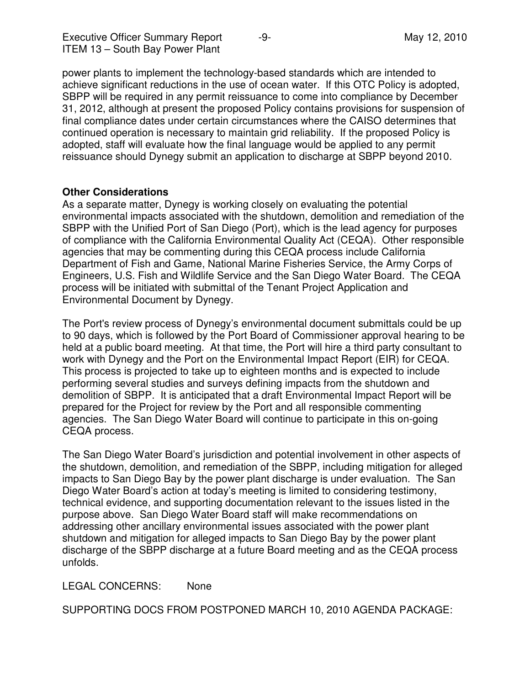Executive Officer Summary Report  $-9$ - Alleman and May 12, 2010 ITEM 13 – South Bay Power Plant

power plants to implement the technology-based standards which are intended to achieve significant reductions in the use of ocean water. If this OTC Policy is adopted, SBPP will be required in any permit reissuance to come into compliance by December 31, 2012, although at present the proposed Policy contains provisions for suspension of final compliance dates under certain circumstances where the CAISO determines that continued operation is necessary to maintain grid reliability. If the proposed Policy is adopted, staff will evaluate how the final language would be applied to any permit reissuance should Dynegy submit an application to discharge at SBPP beyond 2010.

### **Other Considerations**

As a separate matter, Dynegy is working closely on evaluating the potential environmental impacts associated with the shutdown, demolition and remediation of the SBPP with the Unified Port of San Diego (Port), which is the lead agency for purposes of compliance with the California Environmental Quality Act (CEQA). Other responsible agencies that may be commenting during this CEQA process include California Department of Fish and Game, National Marine Fisheries Service, the Army Corps of Engineers, U.S. Fish and Wildlife Service and the San Diego Water Board. The CEQA process will be initiated with submittal of the Tenant Project Application and Environmental Document by Dynegy.

The Port's review process of Dynegy's environmental document submittals could be up to 90 days, which is followed by the Port Board of Commissioner approval hearing to be held at a public board meeting. At that time, the Port will hire a third party consultant to work with Dynegy and the Port on the Environmental Impact Report (EIR) for CEQA. This process is projected to take up to eighteen months and is expected to include performing several studies and surveys defining impacts from the shutdown and demolition of SBPP. It is anticipated that a draft Environmental Impact Report will be prepared for the Project for review by the Port and all responsible commenting agencies. The San Diego Water Board will continue to participate in this on-going CEQA process.

The San Diego Water Board's jurisdiction and potential involvement in other aspects of the shutdown, demolition, and remediation of the SBPP, including mitigation for alleged impacts to San Diego Bay by the power plant discharge is under evaluation. The San Diego Water Board's action at today's meeting is limited to considering testimony, technical evidence, and supporting documentation relevant to the issues listed in the purpose above. San Diego Water Board staff will make recommendations on addressing other ancillary environmental issues associated with the power plant shutdown and mitigation for alleged impacts to San Diego Bay by the power plant discharge of the SBPP discharge at a future Board meeting and as the CEQA process unfolds.

LEGAL CONCERNS: None

SUPPORTING DOCS FROM POSTPONED MARCH 10, 2010 AGENDA PACKAGE: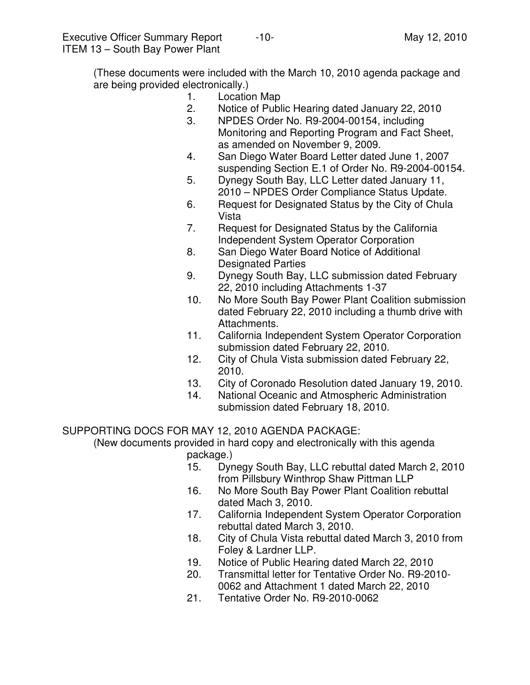(These documents were included with the March 10, 2010 agenda package and are being provided electronically.)

- 1. Location Map
- 2. Notice of Public Hearing dated January 22, 2010
- 3. NPDES Order No. R9-2004-00154, including Monitoring and Reporting Program and Fact Sheet, as amended on November 9, 2009.
- 4. San Diego Water Board Letter dated June 1, 2007 suspending Section E.1 of Order No. R9-2004-00154.
- 5. Dynegy South Bay, LLC Letter dated January 11, 2010 – NPDES Order Compliance Status Update.
- 6. Request for Designated Status by the City of Chula Vista
- 7. Request for Designated Status by the California Independent System Operator Corporation
- 8. San Diego Water Board Notice of Additional Designated Parties
- 9. Dynegy South Bay, LLC submission dated February 22, 2010 including Attachments 1-37
- 10. No More South Bay Power Plant Coalition submission dated February 22, 2010 including a thumb drive with Attachments.
- 11. California Independent System Operator Corporation submission dated February 22, 2010.
- 12. City of Chula Vista submission dated February 22, 2010.
- 13. City of Coronado Resolution dated January 19, 2010.
- 14. National Oceanic and Atmospheric Administration submission dated February 18, 2010.

SUPPORTING DOCS FOR MAY 12, 2010 AGENDA PACKAGE:

 (New documents provided in hard copy and electronically with this agenda package.)

- 15. Dynegy South Bay, LLC rebuttal dated March 2, 2010 from Pillsbury Winthrop Shaw Pittman LLP
- 16. No More South Bay Power Plant Coalition rebuttal dated Mach 3, 2010.
- 17. California Independent System Operator Corporation rebuttal dated March 3, 2010.
- 18. City of Chula Vista rebuttal dated March 3, 2010 from Foley & Lardner LLP.
- 19. Notice of Public Hearing dated March 22, 2010
- 20. Transmittal letter for Tentative Order No. R9-2010- 0062 and Attachment 1 dated March 22, 2010
- 21. Tentative Order No. R9-2010-0062